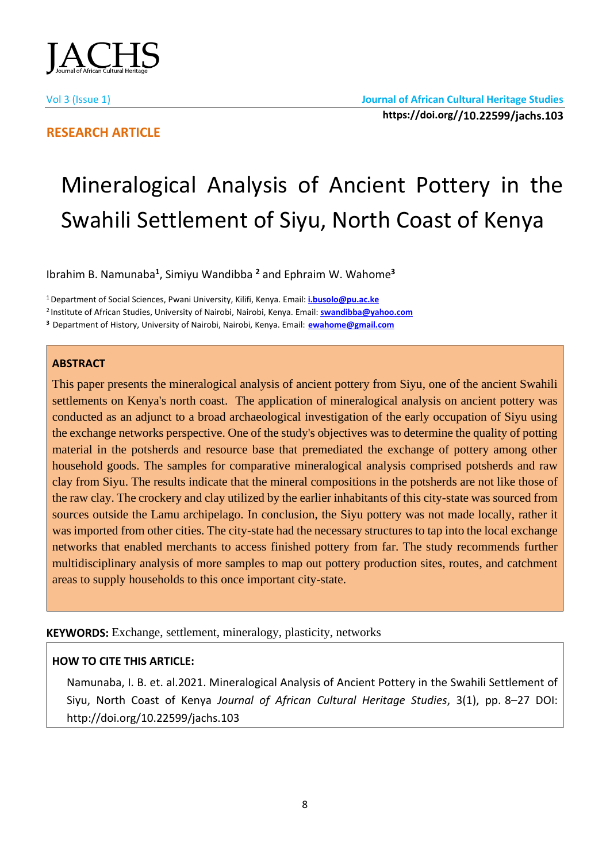

# **RESEARCH ARTICLE**

# Mineralogical Analysis of Ancient Pottery in the Swahili Settlement of Siyu, North Coast of Kenya

Ibrahim B. Namunaba**<sup>1</sup>** , Simiyu Wandibba **<sup>2</sup>** and Ephraim W. Wahome**<sup>3</sup>**

<sup>1</sup>Department of Social Sciences, Pwani University, Kilifi, Kenya. Email: **[i.busolo@pu.ac.ke](mailto:i.busolo@pu.ac.ke)**

<sup>2</sup>Institute of African Studies, University of Nairobi, Nairobi, Kenya. Email: **[swandibba@yahoo.com](mailto:swandibba@yahoo.com)**

**<sup>3</sup>** Department of History, University of Nairobi, Nairobi, Kenya. Email: **[ewahome@gmail.com](mailto:ewahome@gmail.com)**

# **ABSTRACT**

This paper presents the mineralogical analysis of ancient pottery from Siyu, one of the ancient Swahili settlements on Kenya's north coast. The application of mineralogical analysis on ancient pottery was conducted as an adjunct to a broad archaeological investigation of the early occupation of Siyu using the exchange networks perspective. One of the study's objectives was to determine the quality of potting material in the potsherds and resource base that premediated the exchange of pottery among other household goods. The samples for comparative mineralogical analysis comprised potsherds and raw clay from Siyu. The results indicate that the mineral compositions in the potsherds are not like those of the raw clay. The crockery and clay utilized by the earlier inhabitants of this city-state was sourced from sources outside the Lamu archipelago. In conclusion, the Siyu pottery was not made locally, rather it was imported from other cities. The city-state had the necessary structures to tap into the local exchange networks that enabled merchants to access finished pottery from far. The study recommends further multidisciplinary analysis of more samples to map out pottery production sites, routes, and catchment areas to supply households to this once important city-state.

**KEYWORDS:** Exchange, settlement, mineralogy, plasticity, networks

# **HOW TO CITE THIS ARTICLE:**

Namunaba, I. B. et. al.2021. Mineralogical Analysis of Ancient Pottery in the Swahili Settlement of Siyu, North Coast of Kenya *Journal of African Cultural Heritage Studies*, 3(1), pp. 8–27 DOI: http://doi.org/10.22599/jachs.103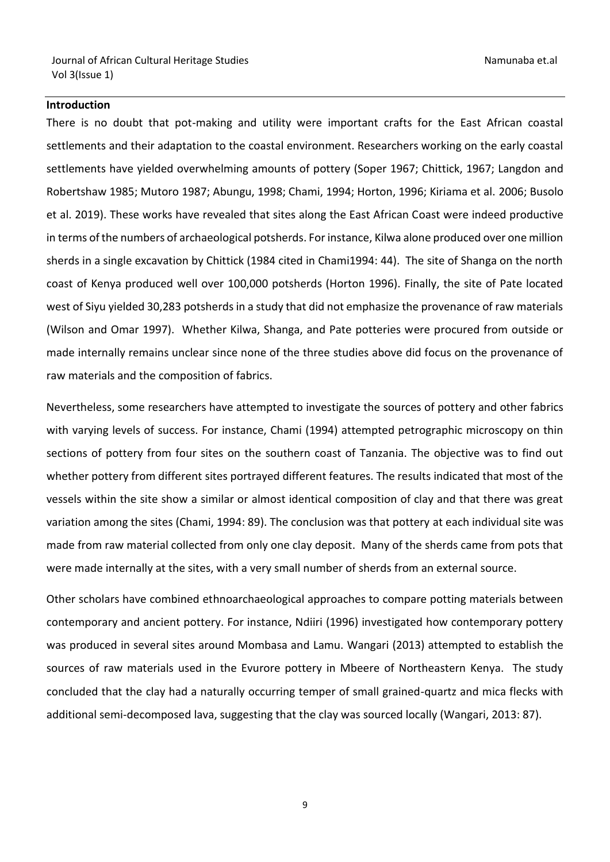Journal of African Cultural Heritage Studies Namunaba et.al Vol 3(Issue 1)

#### **Introduction**

There is no doubt that pot-making and utility were important crafts for the East African coastal settlements and their adaptation to the coastal environment. Researchers working on the early coastal settlements have yielded overwhelming amounts of pottery (Soper 1967; Chittick, 1967; Langdon and Robertshaw 1985; Mutoro 1987; Abungu, 1998; Chami, 1994; Horton, 1996; Kiriama et al. 2006; Busolo et al. 2019). These works have revealed that sites along the East African Coast were indeed productive in terms of the numbers of archaeological potsherds. For instance, Kilwa alone produced over one million sherds in a single excavation by Chittick (1984 cited in Chami1994: 44). The site of Shanga on the north coast of Kenya produced well over 100,000 potsherds (Horton 1996). Finally, the site of Pate located west of Siyu yielded 30,283 potsherds in a study that did not emphasize the provenance of raw materials (Wilson and Omar 1997). Whether Kilwa, Shanga, and Pate potteries were procured from outside or made internally remains unclear since none of the three studies above did focus on the provenance of raw materials and the composition of fabrics.

Nevertheless, some researchers have attempted to investigate the sources of pottery and other fabrics with varying levels of success. For instance, Chami (1994) attempted petrographic microscopy on thin sections of pottery from four sites on the southern coast of Tanzania. The objective was to find out whether pottery from different sites portrayed different features. The results indicated that most of the vessels within the site show a similar or almost identical composition of clay and that there was great variation among the sites (Chami, 1994: 89). The conclusion was that pottery at each individual site was made from raw material collected from only one clay deposit. Many of the sherds came from pots that were made internally at the sites, with a very small number of sherds from an external source.

Other scholars have combined ethnoarchaeological approaches to compare potting materials between contemporary and ancient pottery. For instance, Ndiiri (1996) investigated how contemporary pottery was produced in several sites around Mombasa and Lamu. Wangari (2013) attempted to establish the sources of raw materials used in the Evurore pottery in Mbeere of Northeastern Kenya. The study concluded that the clay had a naturally occurring temper of small grained-quartz and mica flecks with additional semi-decomposed lava, suggesting that the clay was sourced locally (Wangari, 2013: 87).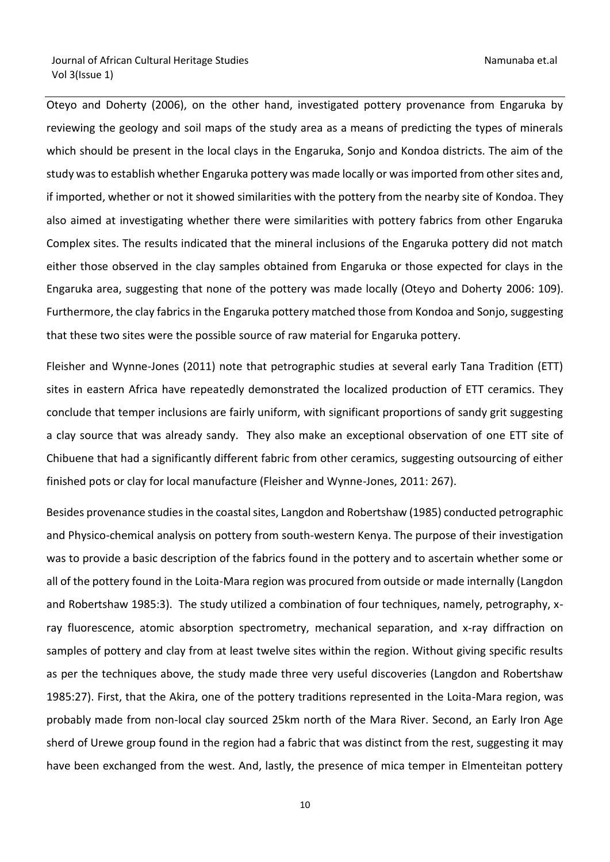Oteyo and Doherty (2006), on the other hand, investigated pottery provenance from Engaruka by reviewing the geology and soil maps of the study area as a means of predicting the types of minerals which should be present in the local clays in the Engaruka, Sonjo and Kondoa districts. The aim of the study was to establish whether Engaruka pottery was made locally or was imported from other sites and, if imported, whether or not it showed similarities with the pottery from the nearby site of Kondoa. They also aimed at investigating whether there were similarities with pottery fabrics from other Engaruka Complex sites. The results indicated that the mineral inclusions of the Engaruka pottery did not match either those observed in the clay samples obtained from Engaruka or those expected for clays in the Engaruka area, suggesting that none of the pottery was made locally (Oteyo and Doherty 2006: 109). Furthermore, the clay fabrics in the Engaruka pottery matched those from Kondoa and Sonjo, suggesting that these two sites were the possible source of raw material for Engaruka pottery.

Fleisher and Wynne-Jones (2011) note that petrographic studies at several early Tana Tradition (ETT) sites in eastern Africa have repeatedly demonstrated the localized production of ETT ceramics. They conclude that temper inclusions are fairly uniform, with significant proportions of sandy grit suggesting a clay source that was already sandy. They also make an exceptional observation of one ETT site of Chibuene that had a significantly different fabric from other ceramics, suggesting outsourcing of either finished pots or clay for local manufacture (Fleisher and Wynne-Jones, 2011: 267).

Besides provenance studies in the coastal sites, Langdon and Robertshaw (1985) conducted petrographic and Physico-chemical analysis on pottery from south-western Kenya. The purpose of their investigation was to provide a basic description of the fabrics found in the pottery and to ascertain whether some or all of the pottery found in the Loita-Mara region was procured from outside or made internally (Langdon and Robertshaw 1985:3). The study utilized a combination of four techniques, namely, petrography, xray fluorescence, atomic absorption spectrometry, mechanical separation, and x-ray diffraction on samples of pottery and clay from at least twelve sites within the region. Without giving specific results as per the techniques above, the study made three very useful discoveries (Langdon and Robertshaw 1985:27). First, that the Akira, one of the pottery traditions represented in the Loita-Mara region, was probably made from non-local clay sourced 25km north of the Mara River. Second, an Early Iron Age sherd of Urewe group found in the region had a fabric that was distinct from the rest, suggesting it may have been exchanged from the west. And, lastly, the presence of mica temper in Elmenteitan pottery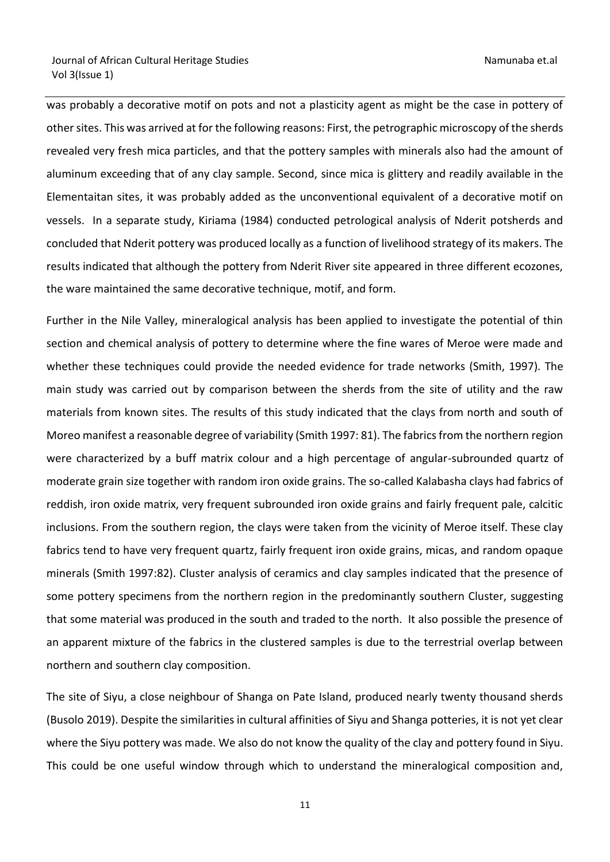was probably a decorative motif on pots and not a plasticity agent as might be the case in pottery of other sites. This was arrived at for the following reasons: First, the petrographic microscopy of the sherds revealed very fresh mica particles, and that the pottery samples with minerals also had the amount of aluminum exceeding that of any clay sample. Second, since mica is glittery and readily available in the Elementaitan sites, it was probably added as the unconventional equivalent of a decorative motif on vessels. In a separate study, Kiriama (1984) conducted petrological analysis of Nderit potsherds and concluded that Nderit pottery was produced locally as a function of livelihood strategy of its makers. The results indicated that although the pottery from Nderit River site appeared in three different ecozones, the ware maintained the same decorative technique, motif, and form.

Further in the Nile Valley, mineralogical analysis has been applied to investigate the potential of thin section and chemical analysis of pottery to determine where the fine wares of Meroe were made and whether these techniques could provide the needed evidence for trade networks (Smith, 1997). The main study was carried out by comparison between the sherds from the site of utility and the raw materials from known sites. The results of this study indicated that the clays from north and south of Moreo manifest a reasonable degree of variability (Smith 1997: 81). The fabrics from the northern region were characterized by a buff matrix colour and a high percentage of angular-subrounded quartz of moderate grain size together with random iron oxide grains. The so-called Kalabasha clays had fabrics of reddish, iron oxide matrix, very frequent subrounded iron oxide grains and fairly frequent pale, calcitic inclusions. From the southern region, the clays were taken from the vicinity of Meroe itself. These clay fabrics tend to have very frequent quartz, fairly frequent iron oxide grains, micas, and random opaque minerals (Smith 1997:82). Cluster analysis of ceramics and clay samples indicated that the presence of some pottery specimens from the northern region in the predominantly southern Cluster, suggesting that some material was produced in the south and traded to the north. It also possible the presence of an apparent mixture of the fabrics in the clustered samples is due to the terrestrial overlap between northern and southern clay composition.

The site of Siyu, a close neighbour of Shanga on Pate Island, produced nearly twenty thousand sherds (Busolo 2019). Despite the similarities in cultural affinities of Siyu and Shanga potteries, it is not yet clear where the Siyu pottery was made. We also do not know the quality of the clay and pottery found in Siyu. This could be one useful window through which to understand the mineralogical composition and,

11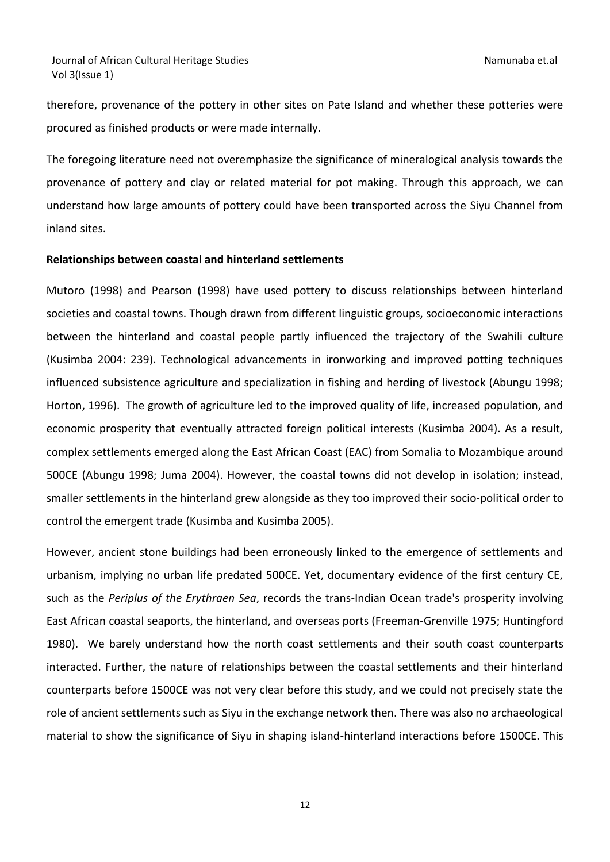therefore, provenance of the pottery in other sites on Pate Island and whether these potteries were procured as finished products or were made internally.

The foregoing literature need not overemphasize the significance of mineralogical analysis towards the provenance of pottery and clay or related material for pot making. Through this approach, we can understand how large amounts of pottery could have been transported across the Siyu Channel from inland sites.

#### **Relationships between coastal and hinterland settlements**

Mutoro (1998) and Pearson (1998) have used pottery to discuss relationships between hinterland societies and coastal towns. Though drawn from different linguistic groups, socioeconomic interactions between the hinterland and coastal people partly influenced the trajectory of the Swahili culture (Kusimba 2004: 239). Technological advancements in ironworking and improved potting techniques influenced subsistence agriculture and specialization in fishing and herding of livestock (Abungu 1998; Horton, 1996). The growth of agriculture led to the improved quality of life, increased population, and economic prosperity that eventually attracted foreign political interests (Kusimba 2004). As a result, complex settlements emerged along the East African Coast (EAC) from Somalia to Mozambique around 500CE (Abungu 1998; Juma 2004). However, the coastal towns did not develop in isolation; instead, smaller settlements in the hinterland grew alongside as they too improved their socio-political order to control the emergent trade (Kusimba and Kusimba 2005).

However, ancient stone buildings had been erroneously linked to the emergence of settlements and urbanism, implying no urban life predated 500CE. Yet, documentary evidence of the first century CE, such as the *Periplus of the Erythraen Sea*, records the trans-Indian Ocean trade's prosperity involving East African coastal seaports, the hinterland, and overseas ports (Freeman-Grenville 1975; Huntingford 1980). We barely understand how the north coast settlements and their south coast counterparts interacted. Further, the nature of relationships between the coastal settlements and their hinterland counterparts before 1500CE was not very clear before this study, and we could not precisely state the role of ancient settlements such as Siyu in the exchange network then. There was also no archaeological material to show the significance of Siyu in shaping island-hinterland interactions before 1500CE. This

12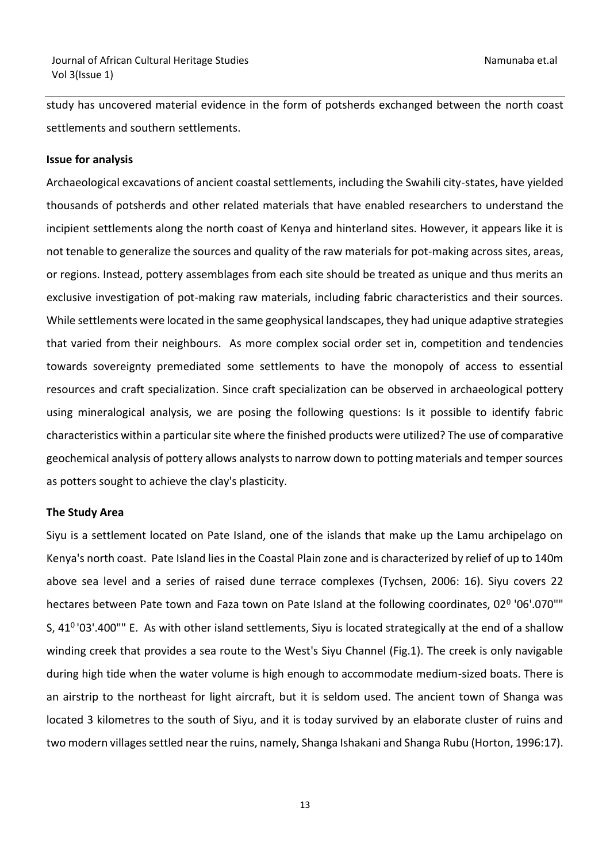study has uncovered material evidence in the form of potsherds exchanged between the north coast settlements and southern settlements.

#### **Issue for analysis**

Archaeological excavations of ancient coastal settlements, including the Swahili city-states, have yielded thousands of potsherds and other related materials that have enabled researchers to understand the incipient settlements along the north coast of Kenya and hinterland sites. However, it appears like it is not tenable to generalize the sources and quality of the raw materials for pot-making across sites, areas, or regions. Instead, pottery assemblages from each site should be treated as unique and thus merits an exclusive investigation of pot-making raw materials, including fabric characteristics and their sources. While settlements were located in the same geophysical landscapes, they had unique adaptive strategies that varied from their neighbours. As more complex social order set in, competition and tendencies towards sovereignty premediated some settlements to have the monopoly of access to essential resources and craft specialization. Since craft specialization can be observed in archaeological pottery using mineralogical analysis, we are posing the following questions: Is it possible to identify fabric characteristics within a particular site where the finished products were utilized? The use of comparative geochemical analysis of pottery allows analysts to narrow down to potting materials and temper sources as potters sought to achieve the clay's plasticity.

#### **The Study Area**

Siyu is a settlement located on Pate Island, one of the islands that make up the Lamu archipelago on Kenya's north coast. Pate Island lies in the Coastal Plain zone and is characterized by relief of up to 140m above sea level and a series of raised dune terrace complexes (Tychsen, 2006: 16). Siyu covers 22 hectares between Pate town and Faza town on Pate Island at the following coordinates, 02<sup>0</sup> '06'.070"" S, 41<sup>0</sup>'03'.400"" E. As with other island settlements, Siyu is located strategically at the end of a shallow winding creek that provides a sea route to the West's Siyu Channel (Fig.1). The creek is only navigable during high tide when the water volume is high enough to accommodate medium-sized boats. There is an airstrip to the northeast for light aircraft, but it is seldom used. The ancient town of Shanga was located 3 kilometres to the south of Siyu, and it is today survived by an elaborate cluster of ruins and two modern villages settled near the ruins, namely, Shanga Ishakani and Shanga Rubu (Horton, 1996:17).

13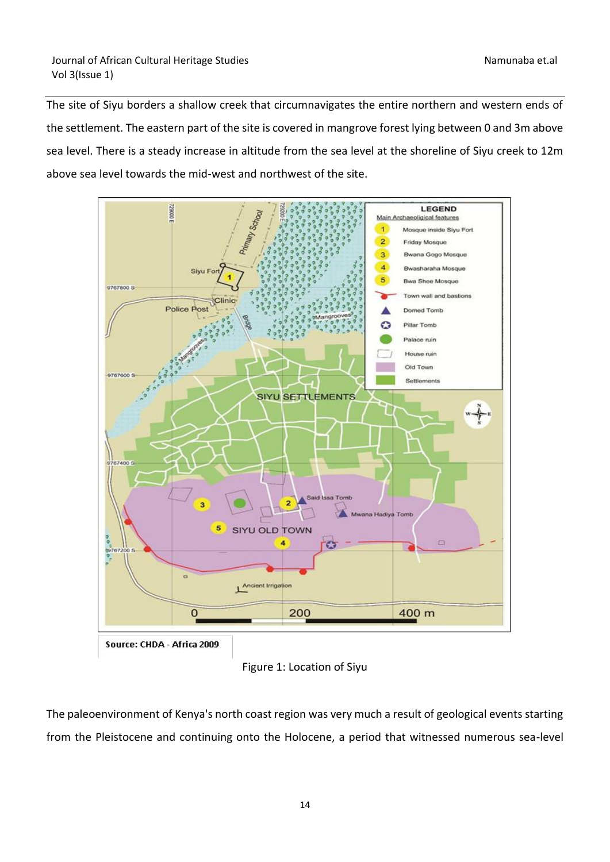The site of Siyu borders a shallow creek that circumnavigates the entire northern and western ends of the settlement. The eastern part of the site is covered in mangrove forest lying between 0 and 3m above sea level. There is a steady increase in altitude from the sea level at the shoreline of Siyu creek to 12m above sea level towards the mid-west and northwest of the site.



Source: CHDA - Africa 2009

Figure 1: Location of Siyu

The paleoenvironment of Kenya's north coast region was very much a result of geological events starting from the Pleistocene and continuing onto the Holocene, a period that witnessed numerous sea-level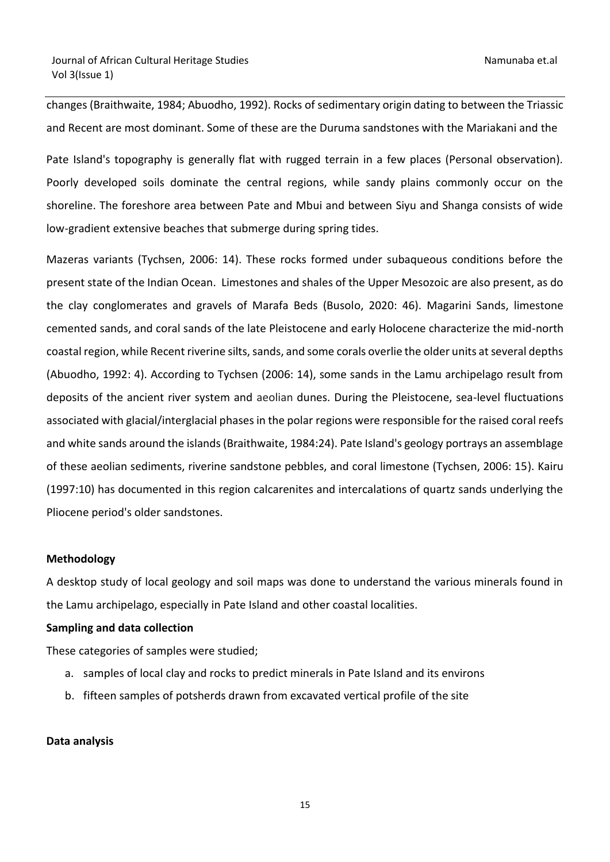changes (Braithwaite, 1984; Abuodho, 1992). Rocks of sedimentary origin dating to between the Triassic and Recent are most dominant. Some of these are the Duruma sandstones with the Mariakani and the

Pate Island's topography is generally flat with rugged terrain in a few places (Personal observation). Poorly developed soils dominate the central regions, while sandy plains commonly occur on the shoreline. The foreshore area between Pate and Mbui and between Siyu and Shanga consists of wide low-gradient extensive beaches that submerge during spring tides.

Mazeras variants (Tychsen, 2006: 14). These rocks formed under subaqueous conditions before the present state of the Indian Ocean. Limestones and shales of the Upper Mesozoic are also present, as do the clay conglomerates and gravels of Marafa Beds (Busolo, 2020: 46). Magarini Sands, limestone cemented sands, and coral sands of the late Pleistocene and early Holocene characterize the mid-north coastal region, while Recent riverine silts, sands, and some corals overlie the older units at several depths (Abuodho, 1992: 4). According to Tychsen (2006: 14), some sands in the Lamu archipelago result from deposits of the ancient river system and aeolian dunes. During the Pleistocene, sea-level fluctuations associated with glacial/interglacial phases in the polar regions were responsible for the raised coral reefs and white sands around the islands (Braithwaite, 1984:24). Pate Island's geology portrays an assemblage of these aeolian sediments, riverine sandstone pebbles, and coral limestone (Tychsen, 2006: 15). Kairu (1997:10) has documented in this region calcarenites and intercalations of quartz sands underlying the Pliocene period's older sandstones.

# **Methodology**

A desktop study of local geology and soil maps was done to understand the various minerals found in the Lamu archipelago, especially in Pate Island and other coastal localities.

#### **Sampling and data collection**

These categories of samples were studied;

- a. samples of local clay and rocks to predict minerals in Pate Island and its environs
- b. fifteen samples of potsherds drawn from excavated vertical profile of the site

#### **Data analysis**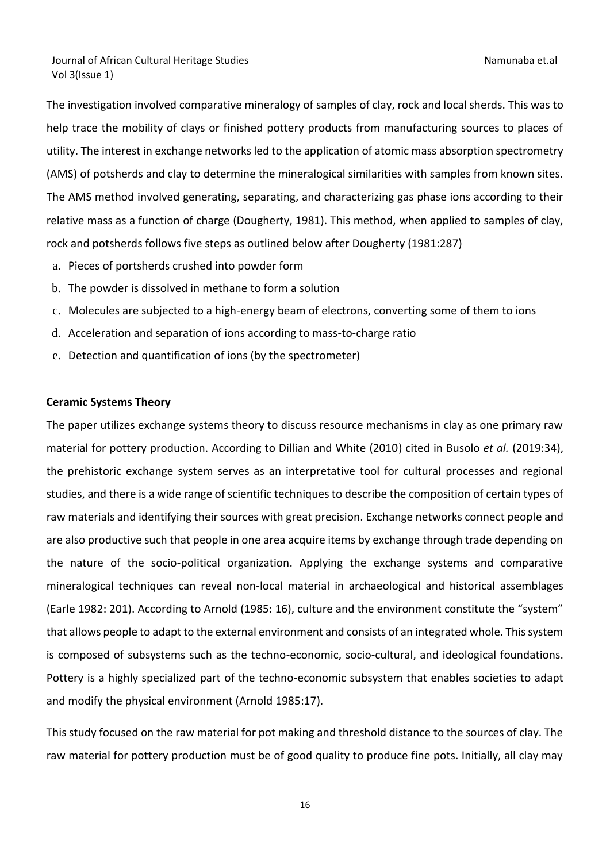The investigation involved comparative mineralogy of samples of clay, rock and local sherds. This was to help trace the mobility of clays or finished pottery products from manufacturing sources to places of utility. The interest in exchange networks led to the application of atomic mass absorption spectrometry (AMS) of potsherds and clay to determine the mineralogical similarities with samples from known sites. The AMS method involved generating, separating, and characterizing gas phase ions according to their relative mass as a function of charge (Dougherty, 1981). This method, when applied to samples of clay, rock and potsherds follows five steps as outlined below after Dougherty (1981:287)

- a. Pieces of portsherds crushed into powder form
- b. The powder is dissolved in methane to form a solution
- c. Molecules are subjected to a high-energy beam of electrons, converting some of them to ions
- d. Acceleration and separation of ions according to mass-to-charge ratio
- e. Detection and quantification of ions (by the spectrometer)

#### **Ceramic Systems Theory**

The paper utilizes exchange systems theory to discuss resource mechanisms in clay as one primary raw material for pottery production. According to Dillian and White (2010) cited in Busolo *et al.* (2019:34), the prehistoric exchange system serves as an interpretative tool for cultural processes and regional studies, and there is a wide range of scientific techniques to describe the composition of certain types of raw materials and identifying their sources with great precision. Exchange networks connect people and are also productive such that people in one area acquire items by exchange through trade depending on the nature of the socio-political organization. Applying the exchange systems and comparative mineralogical techniques can reveal non-local material in archaeological and historical assemblages (Earle 1982: 201). According to Arnold (1985: 16), culture and the environment constitute the "system" that allows people to adapt to the external environment and consists of an integrated whole. This system is composed of subsystems such as the techno-economic, socio-cultural, and ideological foundations. Pottery is a highly specialized part of the techno-economic subsystem that enables societies to adapt and modify the physical environment (Arnold 1985:17).

This study focused on the raw material for pot making and threshold distance to the sources of clay. The raw material for pottery production must be of good quality to produce fine pots. Initially, all clay may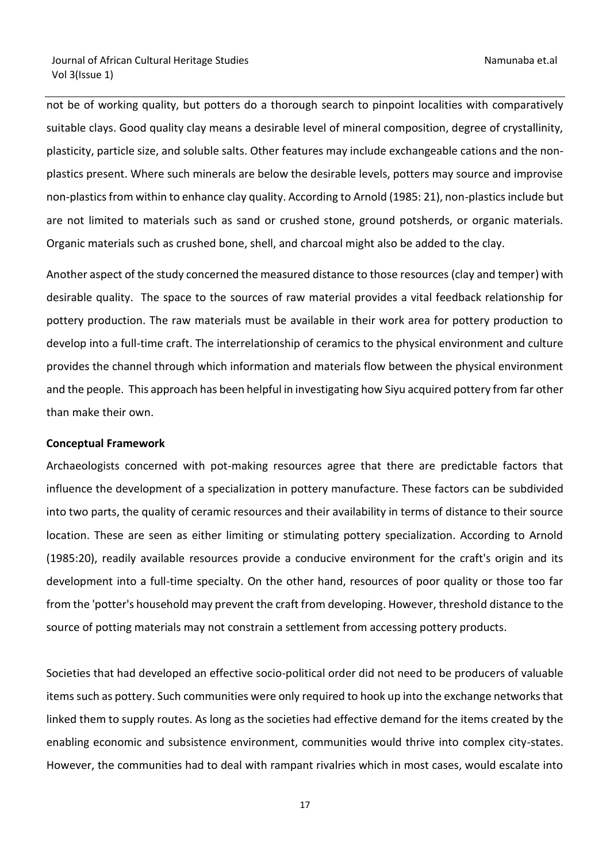not be of working quality, but potters do a thorough search to pinpoint localities with comparatively suitable clays. Good quality clay means a desirable level of mineral composition, degree of crystallinity, plasticity, particle size, and soluble salts. Other features may include exchangeable cations and the nonplastics present. Where such minerals are below the desirable levels, potters may source and improvise non-plastics from within to enhance clay quality. According to Arnold (1985: 21), non-plastics include but are not limited to materials such as sand or crushed stone, ground potsherds, or organic materials. Organic materials such as crushed bone, shell, and charcoal might also be added to the clay.

Another aspect of the study concerned the measured distance to those resources (clay and temper) with desirable quality. The space to the sources of raw material provides a vital feedback relationship for pottery production. The raw materials must be available in their work area for pottery production to develop into a full-time craft. The interrelationship of ceramics to the physical environment and culture provides the channel through which information and materials flow between the physical environment and the people. This approach has been helpful in investigating how Siyu acquired pottery from far other than make their own.

### **Conceptual Framework**

Archaeologists concerned with pot-making resources agree that there are predictable factors that influence the development of a specialization in pottery manufacture. These factors can be subdivided into two parts, the quality of ceramic resources and their availability in terms of distance to their source location. These are seen as either limiting or stimulating pottery specialization. According to Arnold (1985:20), readily available resources provide a conducive environment for the craft's origin and its development into a full-time specialty. On the other hand, resources of poor quality or those too far from the 'potter's household may prevent the craft from developing. However, threshold distance to the source of potting materials may not constrain a settlement from accessing pottery products.

Societies that had developed an effective socio-political order did not need to be producers of valuable items such as pottery. Such communities were only required to hook up into the exchange networks that linked them to supply routes. As long as the societies had effective demand for the items created by the enabling economic and subsistence environment, communities would thrive into complex city-states. However, the communities had to deal with rampant rivalries which in most cases, would escalate into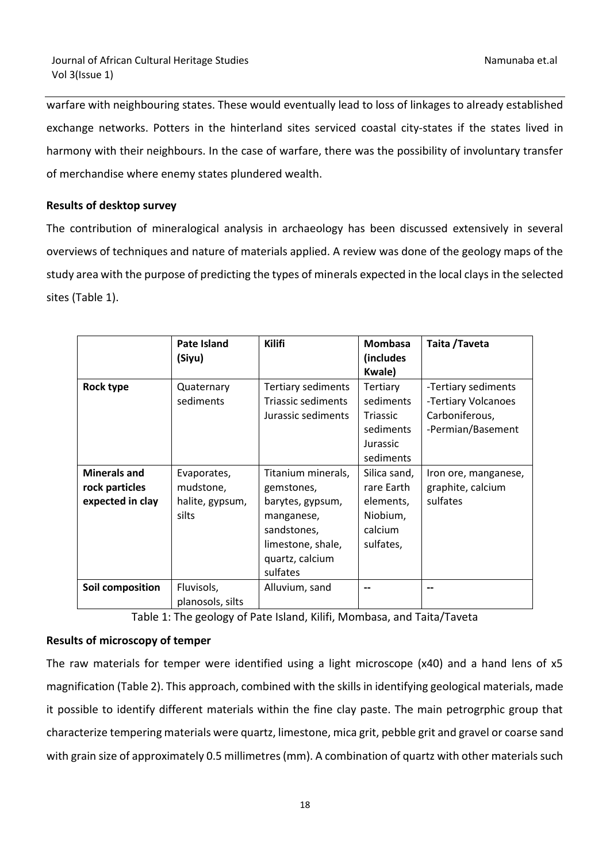warfare with neighbouring states. These would eventually lead to loss of linkages to already established exchange networks. Potters in the hinterland sites serviced coastal city-states if the states lived in harmony with their neighbours. In the case of warfare, there was the possibility of involuntary transfer of merchandise where enemy states plundered wealth.

# **Results of desktop survey**

The contribution of mineralogical analysis in archaeology has been discussed extensively in several overviews of techniques and nature of materials applied. A review was done of the geology maps of the study area with the purpose of predicting the types of minerals expected in the local clays in the selected sites (Table 1).

|                                                           | Pate Island<br>(Siyu)                                | <b>Kilifi</b>                                                                                                                         | <b>Mombasa</b><br>(includes<br><b>Kwale</b> )                                  | Taita / Taveta                                                                    |
|-----------------------------------------------------------|------------------------------------------------------|---------------------------------------------------------------------------------------------------------------------------------------|--------------------------------------------------------------------------------|-----------------------------------------------------------------------------------|
| Rock type                                                 | Quaternary<br>sediments                              | Tertiary sediments<br><b>Triassic sediments</b><br>Jurassic sediments                                                                 | Tertiary<br>sediments<br><b>Triassic</b><br>sediments<br>Jurassic<br>sediments | -Tertiary sediments<br>-Tertiary Volcanoes<br>Carboniferous,<br>-Permian/Basement |
| <b>Minerals and</b><br>rock particles<br>expected in clay | Evaporates,<br>mudstone,<br>halite, gypsum,<br>silts | Titanium minerals,<br>gemstones,<br>barytes, gypsum,<br>manganese,<br>sandstones,<br>limestone, shale,<br>quartz, calcium<br>sulfates | Silica sand,<br>rare Earth<br>elements,<br>Niobium,<br>calcium<br>sulfates,    | Iron ore, manganese,<br>graphite, calcium<br>sulfates                             |
| Soil composition                                          | Fluvisols,<br>planosols, silts                       | Alluvium, sand                                                                                                                        |                                                                                |                                                                                   |

Table 1: The geology of Pate Island, Kilifi, Mombasa, and Taita/Taveta

# **Results of microscopy of temper**

The raw materials for temper were identified using a light microscope (x40) and a hand lens of x5 magnification (Table 2). This approach, combined with the skills in identifying geological materials, made it possible to identify different materials within the fine clay paste. The main petrogrphic group that characterize tempering materials were quartz, limestone, mica grit, pebble grit and gravel or coarse sand with grain size of approximately 0.5 millimetres (mm). A combination of quartz with other materials such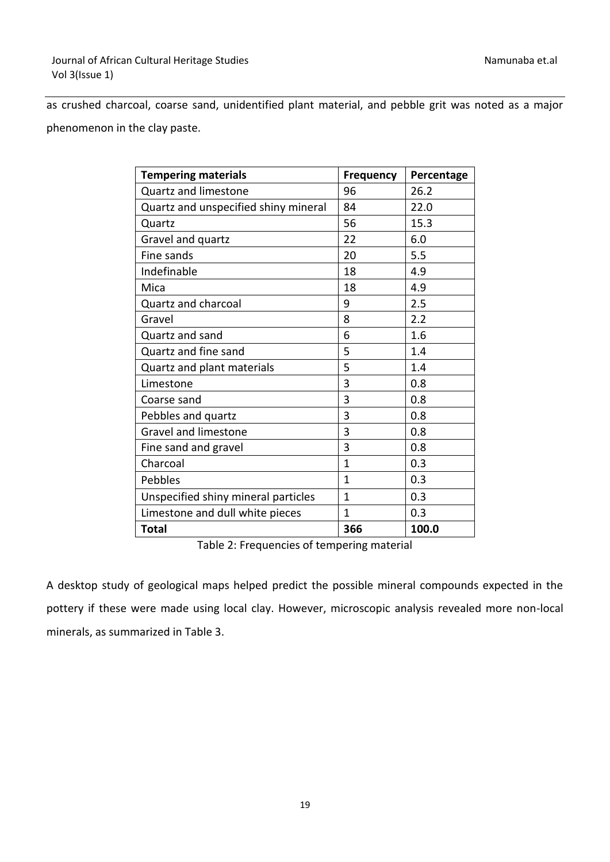as crushed charcoal, coarse sand, unidentified plant material, and pebble grit was noted as a major phenomenon in the clay paste.

| <b>Tempering materials</b>           | Frequency    | Percentage |
|--------------------------------------|--------------|------------|
| Quartz and limestone                 | 96           | 26.2       |
| Quartz and unspecified shiny mineral | 84           | 22.0       |
| Quartz                               | 56           | 15.3       |
| Gravel and quartz                    | 22           | 6.0        |
| Fine sands                           | 20           | 5.5        |
| Indefinable                          | 18           | 4.9        |
| Mica                                 | 18           | 4.9        |
| Quartz and charcoal                  | 9            | 2.5        |
| Gravel                               | 8            | 2.2        |
| Quartz and sand                      | 6            | 1.6        |
| Quartz and fine sand                 | 5            | 1.4        |
| Quartz and plant materials           | 5            | 1.4        |
| Limestone                            | 3            | 0.8        |
| Coarse sand                          | 3            | 0.8        |
| Pebbles and quartz                   | 3            | 0.8        |
| <b>Gravel and limestone</b>          | 3            | 0.8        |
| Fine sand and gravel                 | 3            | 0.8        |
| Charcoal                             | $\mathbf{1}$ | 0.3        |
| Pebbles                              | $\mathbf{1}$ | 0.3        |
| Unspecified shiny mineral particles  | $\mathbf{1}$ | 0.3        |
| Limestone and dull white pieces      | $\mathbf{1}$ | 0.3        |
| <b>Total</b>                         | 366          | 100.0      |

Table 2: Frequencies of tempering material

A desktop study of geological maps helped predict the possible mineral compounds expected in the pottery if these were made using local clay. However, microscopic analysis revealed more non-local minerals, as summarized in Table 3.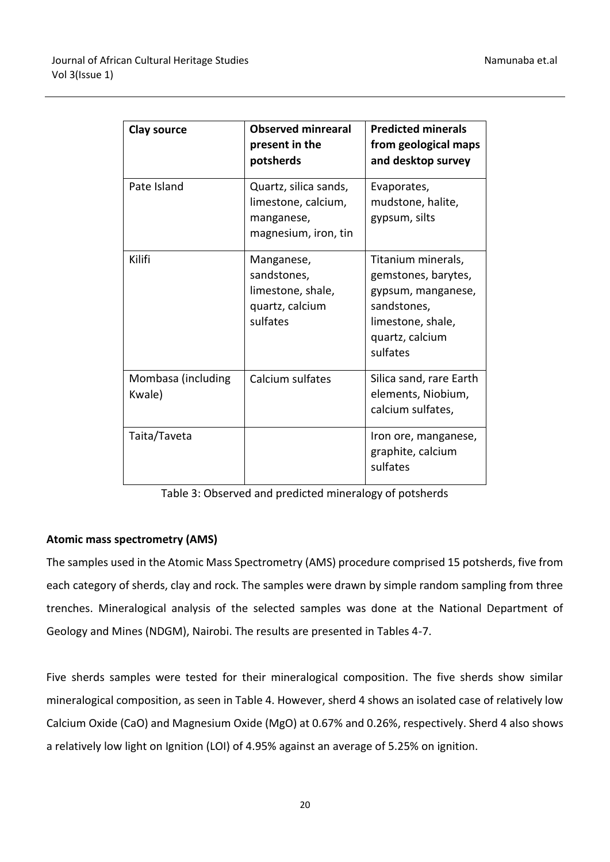| <b>Clay source</b>           | <b>Observed minrearal</b><br>present in the<br>potsherds                           | <b>Predicted minerals</b><br>from geological maps<br>and desktop survey                                                            |
|------------------------------|------------------------------------------------------------------------------------|------------------------------------------------------------------------------------------------------------------------------------|
| Pate Island                  | Quartz, silica sands,<br>limestone, calcium,<br>manganese,<br>magnesium, iron, tin | Evaporates,<br>mudstone, halite,<br>gypsum, silts                                                                                  |
| Kilifi                       | Manganese,<br>sandstones,<br>limestone, shale,<br>quartz, calcium<br>sulfates      | Titanium minerals,<br>gemstones, barytes,<br>gypsum, manganese,<br>sandstones,<br>limestone, shale,<br>quartz, calcium<br>sulfates |
| Mombasa (including<br>Kwale) | Calcium sulfates                                                                   | Silica sand, rare Earth<br>elements, Niobium,<br>calcium sulfates,                                                                 |
| Taita/Taveta                 |                                                                                    | Iron ore, manganese,<br>graphite, calcium<br>sulfates                                                                              |

Table 3: Observed and predicted mineralogy of potsherds

# **Atomic mass spectrometry (AMS)**

The samples used in the Atomic Mass Spectrometry (AMS) procedure comprised 15 potsherds, five from each category of sherds, clay and rock. The samples were drawn by simple random sampling from three trenches. Mineralogical analysis of the selected samples was done at the National Department of Geology and Mines (NDGM), Nairobi. The results are presented in Tables 4-7.

Five sherds samples were tested for their mineralogical composition. The five sherds show similar mineralogical composition, as seen in Table 4. However, sherd 4 shows an isolated case of relatively low Calcium Oxide (CaO) and Magnesium Oxide (MgO) at 0.67% and 0.26%, respectively. Sherd 4 also shows a relatively low light on Ignition (LOI) of 4.95% against an average of 5.25% on ignition.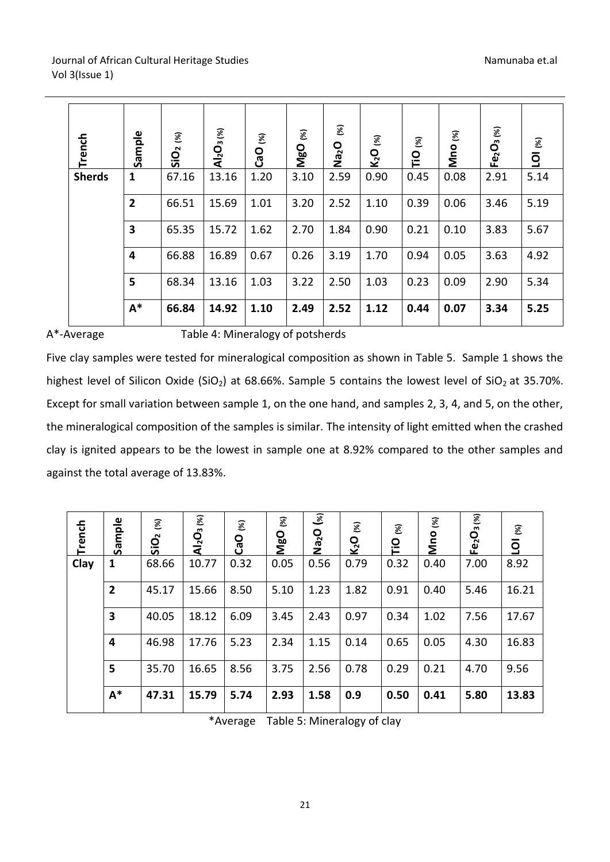| Trench        | Sample                  | SiO <sub>2 (%)</sub> | Al <sub>2</sub> O <sub>3 (%)</sub> | $\mathcal{E}$<br>CaO | $\mathcal{E}$<br><b>O<sub>g</sub></b> | $\mathcal{E}$<br><b>Ocen</b> | $\mathcal{E}$<br>K <sub>2</sub> O | 8<br><u>p</u> | $\mathcal{E}$<br>Mno | Fe <sub>2</sub> O <sub>3 (%)</sub> | $\mathcal{E}$<br>$\overline{q}$ |
|---------------|-------------------------|----------------------|------------------------------------|----------------------|---------------------------------------|------------------------------|-----------------------------------|---------------|----------------------|------------------------------------|---------------------------------|
| <b>Sherds</b> | $\mathbf{1}$            | 67.16                | 13.16                              | 1.20                 | 3.10                                  | 2.59                         | 0.90                              | 0.45          | 0.08                 | 2.91                               | 5.14                            |
|               | $\overline{2}$          | 66.51                | 15.69                              | 1.01                 | 3.20                                  | 2.52                         | 1.10                              | 0.39          | 0.06                 | 3.46                               | 5.19                            |
|               | $\overline{\mathbf{3}}$ | 65.35                | 15.72                              | 1.62                 | 2.70                                  | 1.84                         | 0.90                              | 0.21          | 0.10                 | 3.83                               | 5.67                            |
|               | 4                       | 66.88                | 16.89                              | 0.67                 | 0.26                                  | 3.19                         | 1.70                              | 0.94          | 0.05                 | 3.63                               | 4.92                            |
|               | 5                       | 68.34                | 13.16                              | 1.03                 | 3.22                                  | 2.50                         | 1.03                              | 0.23          | 0.09                 | 2.90                               | 5.34                            |
|               | $A^*$                   | 66.84                | 14.92                              | 1.10                 | 2.49                                  | 2.52                         | 1.12                              | 0.44          | 0.07                 | 3.34                               | 5.25                            |

# A\*-Average Table 4: Mineralogy of potsherds

Five clay samples were tested for mineralogical composition as shown in Table 5. Sample 1 shows the highest level of Silicon Oxide (SiO<sub>2</sub>) at 68.66%. Sample 5 contains the lowest level of SiO<sub>2</sub> at 35.70%. Except for small variation between sample 1, on the one hand, and samples 2, 3, 4, and 5, on the other, the mineralogical composition of the samples is similar. The intensity of light emitted when the crashed clay is ignited appears to be the lowest in sample one at 8.92% compared to the other samples and against the total average of 13.83%.

| Trench | Sample         | $\mathcal{E}$<br>SiO <sub>2</sub> | Al <sub>2</sub> O <sub>3 (%)</sub> | $\mathcal{E}$<br><b>CaO</b> | $\mathcal{E}$<br><b>MgO</b> | ್ತ<br><b>OceN</b> | $\mathcal{E}$<br>$K_2O$ | $\mathcal{E}$<br><u>c</u> | 図<br><b>Mno</b> | $Fe2O3$ $ \kappa_0 $ | 8<br>$\overline{Q}$ |
|--------|----------------|-----------------------------------|------------------------------------|-----------------------------|-----------------------------|-------------------|-------------------------|---------------------------|-----------------|----------------------|---------------------|
| Clay   | 1              | 68.66                             | 10.77                              | 0.32                        | 0.05                        | 0.56              | 0.79                    | 0.32                      | 0.40            | 7.00                 | 8.92                |
|        | $\overline{2}$ | 45.17                             | 15.66                              | 8.50                        | 5.10                        | 1.23              | 1.82                    | 0.91                      | 0.40            | 5.46                 | 16.21               |
|        | 3              | 40.05                             | 18.12                              | 6.09                        | 3.45                        | 2.43              | 0.97                    | 0.34                      | 1.02            | 7.56                 | 17.67               |
|        | 4              | 46.98                             | 17.76                              | 5.23                        | 2.34                        | 1.15              | 0.14                    | 0.65                      | 0.05            | 4.30                 | 16.83               |
|        | 5              | 35.70                             | 16.65                              | 8.56                        | 3.75                        | 2.56              | 0.78                    | 0.29                      | 0.21            | 4.70                 | 9.56                |
|        | $A^*$          | 47.31                             | 15.79                              | 5.74                        | 2.93                        | 1.58              | 0.9                     | 0.50                      | 0.41            | 5.80                 | 13.83               |

\*Average Table 5: Mineralogy of clay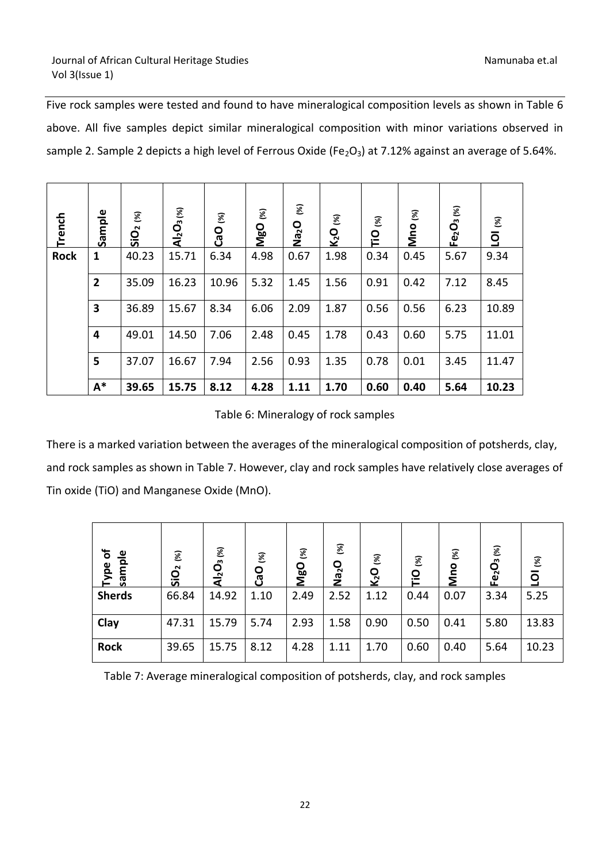Five rock samples were tested and found to have mineralogical composition levels as shown in Table 6 above. All five samples depict similar mineralogical composition with minor variations observed in sample 2. Sample 2 depicts a high level of Ferrous Oxide (Fe<sub>2</sub>O<sub>3</sub>) at 7.12% against an average of 5.64%.

| Trench      | Sample                  | $\mathcal{E}$<br><u>SiO</u> | Al <sub>2</sub> O <sub>3 (%)</sub> | $\mathcal{E}$<br><b>CaO</b> | $\mathcal{E}$<br><b>Da</b><br>Mg | $\mathcal{\mathcal{E}}$<br>O <sup>ce</sup> N | 8<br>K <sub>2</sub> O | $\mathcal{E}$<br><u>p</u> | $\mathcal{E}$<br>Mno | $Fe2O3$ $\frac{\frac{1}{2}}{2}$ | $\mathcal{E}$<br>$\overline{Q}$ |
|-------------|-------------------------|-----------------------------|------------------------------------|-----------------------------|----------------------------------|----------------------------------------------|-----------------------|---------------------------|----------------------|---------------------------------|---------------------------------|
| <b>Rock</b> | 1                       | 40.23                       | 15.71                              | 6.34                        | 4.98                             | 0.67                                         | 1.98                  | 0.34                      | 0.45                 | 5.67                            | 9.34                            |
|             | $\overline{2}$          | 35.09                       | 16.23                              | 10.96                       | 5.32                             | 1.45                                         | 1.56                  | 0.91                      | 0.42                 | 7.12                            | 8.45                            |
|             | $\overline{\mathbf{3}}$ | 36.89                       | 15.67                              | 8.34                        | 6.06                             | 2.09                                         | 1.87                  | 0.56                      | 0.56                 | 6.23                            | 10.89                           |
|             | 4                       | 49.01                       | 14.50                              | 7.06                        | 2.48                             | 0.45                                         | 1.78                  | 0.43                      | 0.60                 | 5.75                            | 11.01                           |
|             | 5                       | 37.07                       | 16.67                              | 7.94                        | 2.56                             | 0.93                                         | 1.35                  | 0.78                      | 0.01                 | 3.45                            | 11.47                           |
|             | $A^*$                   | 39.65                       | 15.75                              | 8.12                        | 4.28                             | 1.11                                         | 1.70                  | 0.60                      | 0.40                 | 5.64                            | 10.23                           |

Table 6: Mineralogy of rock samples

There is a marked variation between the averages of the mineralogical composition of potsherds, clay, and rock samples as shown in Table 7. However, clay and rock samples have relatively close averages of Tin oxide (TiO) and Manganese Oxide (MnO).

| $\mathbf{b}$<br>sample<br>Type | 8<br>$\bar{\mathbf{Q}}$<br>S | Al <sub>2</sub> O <sub>3 (%)</sub> | $\mathcal{E}$<br>CaO | $\mathcal{E}$<br><b>MgO</b> | $\mathcal{E}$<br>O <sup>2</sup><br>z | $\mathcal{E}$<br>K <sub>2</sub> O | 8<br><u>c</u> | $\mathcal{E}$<br><b>Mno</b> | $Fe2O3$ %) | $\mathcal{E}$<br>$\overline{9}$ |
|--------------------------------|------------------------------|------------------------------------|----------------------|-----------------------------|--------------------------------------|-----------------------------------|---------------|-----------------------------|------------|---------------------------------|
| <b>Sherds</b>                  | 66.84                        | 14.92                              | 1.10                 | 2.49                        | 2.52                                 | 1.12                              | 0.44          | 0.07                        | 3.34       | 5.25                            |
| Clay                           | 47.31                        | 15.79                              | 5.74                 | 2.93                        | 1.58                                 | 0.90                              | 0.50          | 0.41                        | 5.80       | 13.83                           |
| <b>Rock</b>                    | 39.65                        | 15.75                              | 8.12                 | 4.28                        | 1.11                                 | 1.70                              | 0.60          | 0.40                        | 5.64       | 10.23                           |

Table 7: Average mineralogical composition of potsherds, clay, and rock samples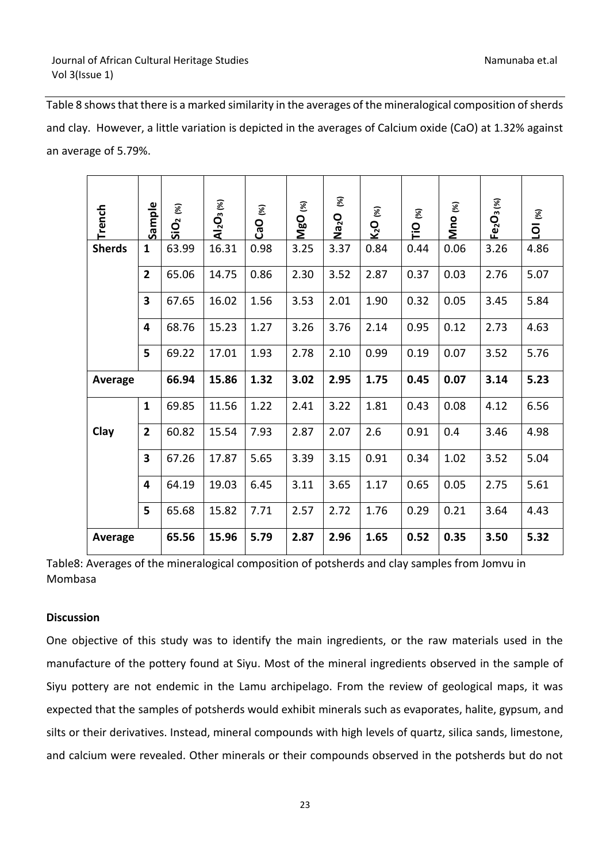Table 8 shows that there is a marked similarity in the averages of the mineralogical composition of sherds and clay. However, a little variation is depicted in the averages of Calcium oxide (CaO) at 1.32% against an average of 5.79%.

|                   | Trench                                                                                                      | Sample       | <b>SiO<sub>2 (%)</sub></b> | Al <sub>2</sub> O <sub>3 (%)</sub> | CaO (%) | MgO (%) | $\mathcal{E}$<br>Na <sub>2</sub> O | K <sub>2</sub> O (%) | TiO <sub>(%)</sub> | Mno (%) | Fe <sub>2</sub> O <sub>3(%)</sub> | <b>LOI</b> (%) |
|-------------------|-------------------------------------------------------------------------------------------------------------|--------------|----------------------------|------------------------------------|---------|---------|------------------------------------|----------------------|--------------------|---------|-----------------------------------|----------------|
|                   | <b>Sherds</b>                                                                                               | $\mathbf{1}$ | 63.99                      | 16.31                              | 0.98    | 3.25    | 3.37                               | 0.84                 | 0.44               | 0.06    | 3.26                              | 4.86           |
|                   |                                                                                                             | $\mathbf{2}$ | 65.06                      | 14.75                              | 0.86    | 2.30    | 3.52                               | 2.87                 | 0.37               | 0.03    | 2.76                              | 5.07           |
|                   |                                                                                                             | 3            | 67.65                      | 16.02                              | 1.56    | 3.53    | 2.01                               | 1.90                 | 0.32               | 0.05    | 3.45                              | 5.84           |
|                   |                                                                                                             | 4            | 68.76                      | 15.23                              | 1.27    | 3.26    | 3.76                               | 2.14                 | 0.95               | 0.12    | 2.73                              | 4.63           |
|                   |                                                                                                             | 5            | 69.22                      | 17.01                              | 1.93    | 2.78    | 2.10                               | 0.99                 | 0.19               | 0.07    | 3.52                              | 5.76           |
|                   | Average                                                                                                     |              | 66.94                      | 15.86                              | 1.32    | 3.02    | 2.95                               | 1.75                 | 0.45               | 0.07    | 3.14                              | 5.23           |
|                   |                                                                                                             | $\mathbf{1}$ | 69.85                      | 11.56                              | 1.22    | 2.41    | 3.22                               | 1.81                 | 0.43               | 0.08    | 4.12                              | 6.56           |
|                   | Clay                                                                                                        | $\mathbf{2}$ | 60.82                      | 15.54                              | 7.93    | 2.87    | 2.07                               | 2.6                  | 0.91               | 0.4     | 3.46                              | 4.98           |
|                   |                                                                                                             | 3            | 67.26                      | 17.87                              | 5.65    | 3.39    | 3.15                               | 0.91                 | 0.34               | 1.02    | 3.52                              | 5.04           |
|                   |                                                                                                             | 4            | 64.19                      | 19.03                              | 6.45    | 3.11    | 3.65                               | 1.17                 | 0.65               | 0.05    | 2.75                              | 5.61           |
|                   |                                                                                                             | 5            | 65.68                      | 15.82                              | 7.71    | 2.57    | 2.72                               | 1.76                 | 0.29               | 0.21    | 3.64                              | 4.43           |
|                   | Average                                                                                                     |              | 65.56                      | 15.96                              | 5.79    | 2.87    | 2.96                               | 1.65                 | 0.52               | 0.35    | 3.50                              | 5.32           |
| Mombasa           | Table8: Averages of the mineralogical composition of potsherds and clay samples from Jomvu in               |              |                            |                                    |         |         |                                    |                      |                    |         |                                   |                |
| <b>Discussion</b> |                                                                                                             |              |                            |                                    |         |         |                                    |                      |                    |         |                                   |                |
|                   | One objective of this study was to identify the main ingredients, or the raw materials used in the          |              |                            |                                    |         |         |                                    |                      |                    |         |                                   |                |
|                   | manufacture of the pottery found at Siyu. Most of the mineral ingredients observed in the sample of         |              |                            |                                    |         |         |                                    |                      |                    |         |                                   |                |
|                   | Siyu pottery are not endemic in the Lamu archipelago. From the review of geological maps, it was            |              |                            |                                    |         |         |                                    |                      |                    |         |                                   |                |
|                   | expected that the samples of potsherds would exhibit minerals such as evaporates, halite, gypsum, and       |              |                            |                                    |         |         |                                    |                      |                    |         |                                   |                |
|                   | silts or their derivatives. Instead, mineral compounds with high levels of quartz, silica sands, limestone, |              |                            |                                    |         |         |                                    |                      |                    |         |                                   |                |
|                   | and calcium were revealed. Other minerals or their compounds observed in the potsherds but do not           |              |                            |                                    |         |         |                                    |                      |                    |         |                                   |                |

Table8: Averages of the mineralogical composition of potsherds and clay samples from Jomvu in Mombasa

# **Discussion**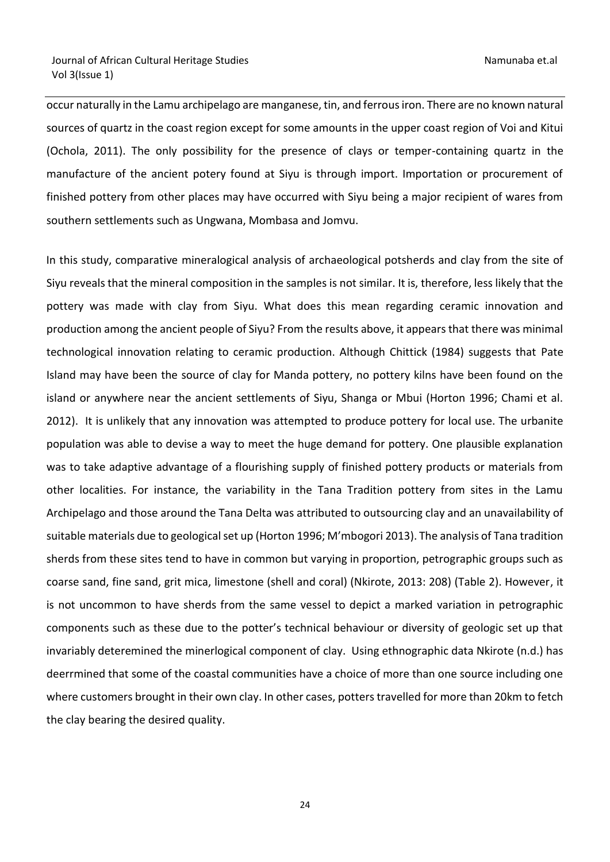occur naturally in the Lamu archipelago are manganese, tin, and ferrous iron. There are no known natural sources of quartz in the coast region except for some amounts in the upper coast region of Voi and Kitui (Ochola, 2011). The only possibility for the presence of clays or temper-containing quartz in the manufacture of the ancient potery found at Siyu is through import. Importation or procurement of finished pottery from other places may have occurred with Siyu being a major recipient of wares from southern settlements such as Ungwana, Mombasa and Jomvu.

In this study, comparative mineralogical analysis of archaeological potsherds and clay from the site of Siyu reveals that the mineral composition in the samples is not similar. It is, therefore, less likely that the pottery was made with clay from Siyu. What does this mean regarding ceramic innovation and production among the ancient people of Siyu? From the results above, it appears that there was minimal technological innovation relating to ceramic production. Although Chittick (1984) suggests that Pate Island may have been the source of clay for Manda pottery, no pottery kilns have been found on the island or anywhere near the ancient settlements of Siyu, Shanga or Mbui (Horton 1996; Chami et al. 2012). It is unlikely that any innovation was attempted to produce pottery for local use. The urbanite population was able to devise a way to meet the huge demand for pottery. One plausible explanation was to take adaptive advantage of a flourishing supply of finished pottery products or materials from other localities. For instance, the variability in the Tana Tradition pottery from sites in the Lamu Archipelago and those around the Tana Delta was attributed to outsourcing clay and an unavailability of suitable materials due to geological set up (Horton 1996; M'mbogori 2013). The analysis of Tana tradition sherds from these sites tend to have in common but varying in proportion, petrographic groups such as coarse sand, fine sand, grit mica, limestone (shell and coral) (Nkirote, 2013: 208) (Table 2). However, it is not uncommon to have sherds from the same vessel to depict a marked variation in petrographic components such as these due to the potter's technical behaviour or diversity of geologic set up that invariably deteremined the minerlogical component of clay. Using ethnographic data Nkirote (n.d.) has deerrmined that some of the coastal communities have a choice of more than one source including one where customers brought in their own clay. In other cases, potters travelled for more than 20km to fetch the clay bearing the desired quality.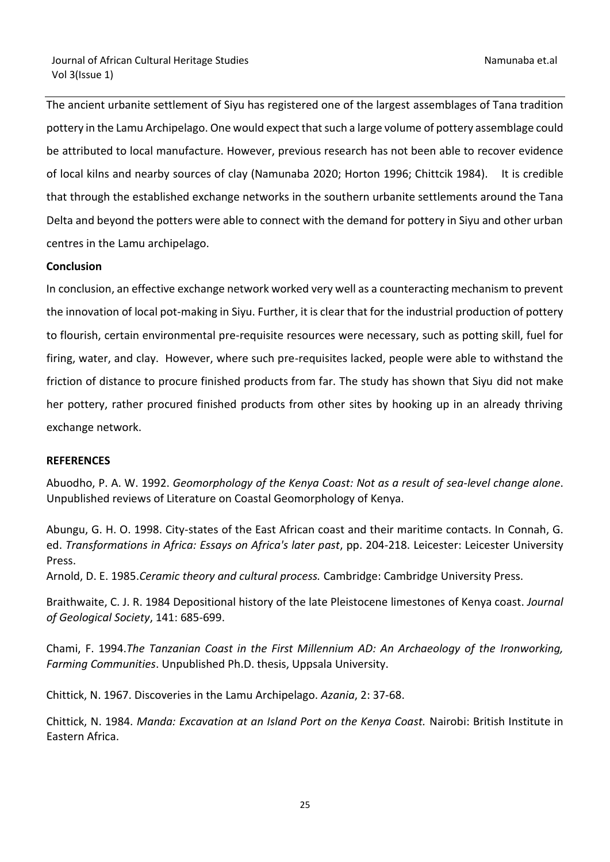The ancient urbanite settlement of Siyu has registered one of the largest assemblages of Tana tradition pottery in the Lamu Archipelago. One would expect that such a large volume of pottery assemblage could be attributed to local manufacture. However, previous research has not been able to recover evidence of local kilns and nearby sources of clay (Namunaba 2020; Horton 1996; Chittcik 1984). It is credible that through the established exchange networks in the southern urbanite settlements around the Tana Delta and beyond the potters were able to connect with the demand for pottery in Siyu and other urban centres in the Lamu archipelago.

# **Conclusion**

In conclusion, an effective exchange network worked very well as a counteracting mechanism to prevent the innovation of local pot-making in Siyu. Further, it is clear that for the industrial production of pottery to flourish, certain environmental pre-requisite resources were necessary, such as potting skill, fuel for firing, water, and clay. However, where such pre-requisites lacked, people were able to withstand the friction of distance to procure finished products from far. The study has shown that Siyu did not make her pottery, rather procured finished products from other sites by hooking up in an already thriving exchange network.

### **REFERENCES**

Abuodho, P. A. W. 1992. *Geomorphology of the Kenya Coast: Not as a result of sea-level change alone*. Unpublished reviews of Literature on Coastal Geomorphology of Kenya.

Abungu, G. H. O. 1998. City-states of the East African coast and their maritime contacts. In Connah, G. ed. *Transformations in Africa: Essays on Africa's later past*, pp. 204-218. Leicester: Leicester University Press.

Arnold, D. E. 1985.*Ceramic theory and cultural process.* Cambridge: Cambridge University Press.

Braithwaite, C. J. R. 1984 Depositional history of the late Pleistocene limestones of Kenya coast. *Journal of Geological Society*, 141: 685-699.

Chami, F. 1994.*The Tanzanian Coast in the First Millennium AD: An Archaeology of the Ironworking, Farming Communities*. Unpublished Ph.D. thesis, Uppsala University.

Chittick, N. 1967. Discoveries in the Lamu Archipelago. *Azania*, 2: 37-68.

Chittick, N. 1984. *Manda: Excavation at an Island Port on the Kenya Coast.* Nairobi: British Institute in Eastern Africa.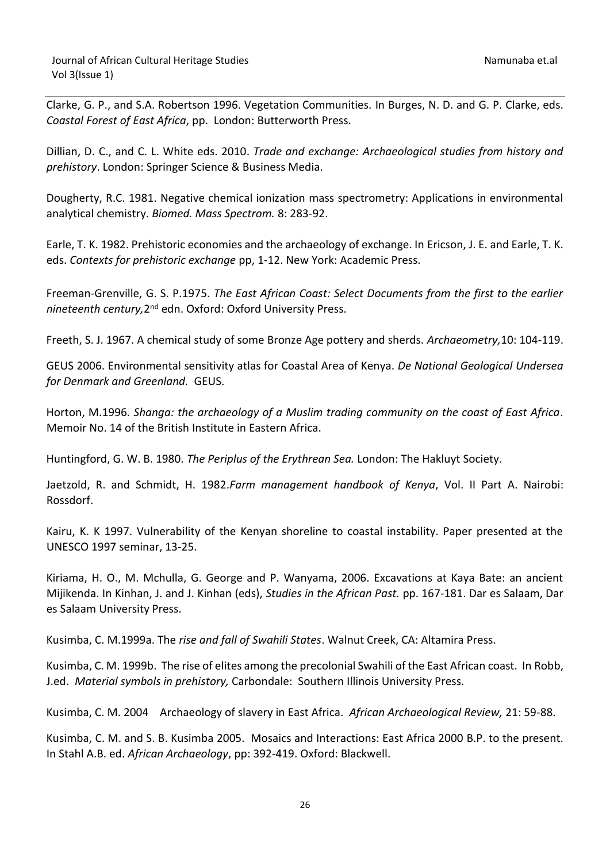Clarke, G. P., and S.A. Robertson 1996. Vegetation Communities. In Burges, N. D. and G. P. Clarke, eds. *Coastal Forest of East Africa*, pp. London: Butterworth Press.

Dillian, D. C., and C. L. White eds. 2010. *Trade and exchange: Archaeological studies from history and prehistory*. London: Springer Science & Business Media.

Dougherty, R.C. 1981. Negative chemical ionization mass spectrometry: Applications in environmental analytical chemistry. *Biomed. Mass Spectrom.* 8: 283-92.

Earle, T. K. 1982. Prehistoric economies and the archaeology of exchange. In Ericson, J. E. and Earle, T. K. eds. *Contexts for prehistoric exchange* pp, 1-12. New York: Academic Press.

Freeman-Grenville, G. S. P.1975. *The East African Coast: Select Documents from the first to the earlier*  nineteenth century, 2<sup>nd</sup> edn. Oxford: Oxford University Press.

Freeth, S. J. 1967. A chemical study of some Bronze Age pottery and sherds. *Archaeometry,*10: 104-119.

GEUS 2006. Environmental sensitivity atlas for Coastal Area of Kenya. *De National Geological Undersea for Denmark and Greenland.* GEUS.

Horton, M.1996. *Shanga: the archaeology of a Muslim trading community on the coast of East Africa*. Memoir No. 14 of the British Institute in Eastern Africa.

Huntingford, G. W. B. 1980. *The Periplus of the Erythrean Sea.* London: The Hakluyt Society.

Jaetzold, R. and Schmidt, H. 1982.*Farm management handbook of Kenya*, Vol. II Part A. Nairobi: Rossdorf.

Kairu, K. K 1997. Vulnerability of the Kenyan shoreline to coastal instability. Paper presented at the UNESCO 1997 seminar, 13-25.

Kiriama, H. O., M. Mchulla, G. George and P. Wanyama, 2006. Excavations at Kaya Bate: an ancient Mijikenda. In Kinhan, J. and J. Kinhan (eds), *Studies in the African Past.* pp. 167-181. Dar es Salaam, Dar es Salaam University Press.

Kusimba, C. M.1999a. The *rise and fall of Swahili States*. Walnut Creek, CA: Altamira Press.

Kusimba, C. M. 1999b. The rise of elites among the precolonial Swahili of the East African coast. In Robb, J.ed. *Material symbols in prehistory,* Carbondale: Southern Illinois University Press.

Kusimba, C. M. 2004 Archaeology of slavery in East Africa. *African Archaeological Review,* 21: 59-88.

Kusimba, C. M. and S. B. Kusimba 2005. Mosaics and Interactions: East Africa 2000 B.P. to the present. In Stahl A.B. ed. *African Archaeology*, pp: 392-419. Oxford: Blackwell.